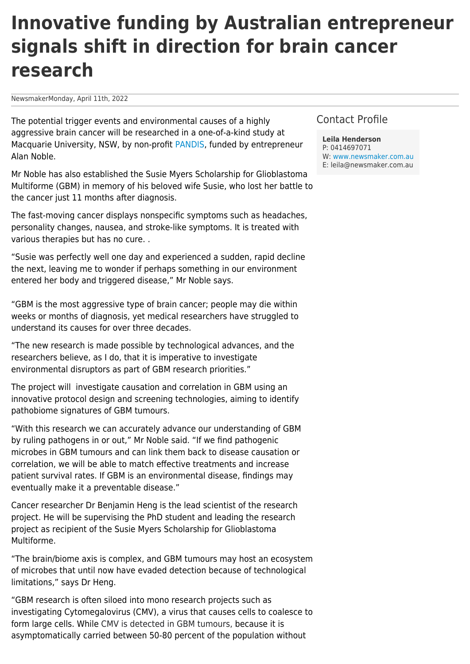# **Innovative funding by Australian entrepreneur signals shift in direction for brain cancer research**

NewsmakerMonday, April 11th, 2022

The potential trigger events and environmental causes of a highly aggressive brain cancer will be researched in a one-of-a-kind study at Macquarie University, NSW, by non-profit [PANDIS,](https://pandis.org/) funded by entrepreneur Alan Noble.

Mr Noble has also established the Susie Myers Scholarship for Glioblastoma Multiforme (GBM) in memory of his beloved wife Susie, who lost her battle to the cancer just 11 months after diagnosis.

The fast-moving cancer displays nonspecific symptoms such as headaches, personality changes, nausea, and stroke-like symptoms. It is treated with various therapies but has no cure. .

"Susie was perfectly well one day and experienced a sudden, rapid decline the next, leaving me to wonder if perhaps something in our environment entered her body and triggered disease," Mr Noble says.

"GBM is the most aggressive type of brain cancer; people may die within weeks or months of diagnosis, yet medical researchers have struggled to understand its causes for over three decades.

"The new research is made possible by technological advances, and the researchers believe, as I do, that it is imperative to investigate environmental disruptors as part of GBM research priorities."

The project will investigate causation and correlation in GBM using an innovative protocol design and screening technologies, aiming to identify pathobiome signatures of GBM tumours.

"With this research we can accurately advance our understanding of GBM by ruling pathogens in or out," Mr Noble said. "If we find pathogenic microbes in GBM tumours and can link them back to disease causation or correlation, we will be able to match effective treatments and increase patient survival rates. If GBM is an environmental disease, findings may eventually make it a preventable disease."

Cancer researcher Dr Benjamin Heng is the lead scientist of the research project. He will be supervising the PhD student and leading the research project as recipient of the Susie Myers Scholarship for Glioblastoma Multiforme.

"The brain/biome axis is complex, and GBM tumours may host an ecosystem of microbes that until now have evaded detection because of technological limitations," says Dr Heng.

"GBM research is often siloed into mono research projects such as investigating Cytomegalovirus (CMV), a virus that causes cells to coalesce to form large cells. While CMV is detected in GBM tumours, because it is asymptomatically carried between 50-80 percent of the population without

## Contact Profile

**Leila Henderson** P: 0414697071 W: [www.newsmaker.com.au](http://www.newsmaker.com.au) E: leila@newsmaker.com.au